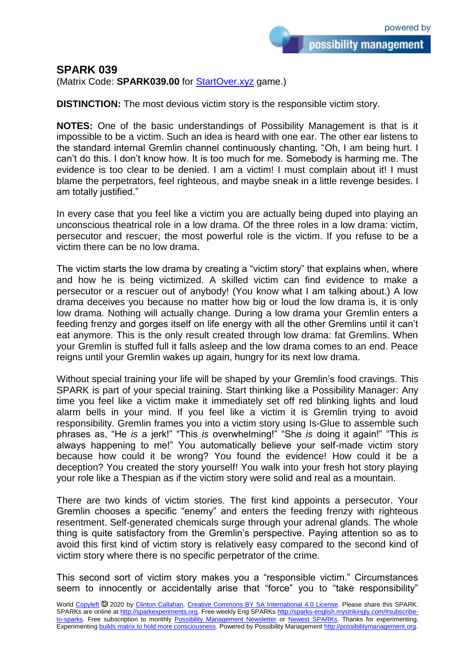possibility management

**SPARK 039**

(Matrix Code: **SPARK039.00** for **StartOver.xyz** game.)

**DISTINCTION:** The most devious victim story is the responsible victim story.

**NOTES:** One of the basic understandings of Possibility Management is that is it impossible to be a victim. Such an idea is heard with one ear. The other ear listens to the standard internal Gremlin channel continuously chanting, "Oh, I am being hurt. I can't do this. I don't know how. It is too much for me. Somebody is harming me. The evidence is too clear to be denied. I am a victim! I must complain about it! I must blame the perpetrators, feel righteous, and maybe sneak in a little revenge besides. I am totally justified."

In every case that you feel like a victim you are actually being duped into playing an unconscious theatrical role in a low drama. Of the three roles in a low drama: victim, persecutor and rescuer, the most powerful role is the victim. If you refuse to be a victim there can be no low drama.

The victim starts the low drama by creating a "victim story" that explains when, where and how he is being victimized. A skilled victim can find evidence to make a persecutor or a rescuer out of anybody! (You know what I am talking about.) A low drama deceives you because no matter how big or loud the low drama is, it is only low drama. Nothing will actually change. During a low drama your Gremlin enters a feeding frenzy and gorges itself on life energy with all the other Gremlins until it can't eat anymore. This is the only result created through low drama: fat Gremlins. When your Gremlin is stuffed full it falls asleep and the low drama comes to an end. Peace reigns until your Gremlin wakes up again, hungry for its next low drama.

Without special training your life will be shaped by your Gremlin's food cravings. This SPARK is part of your special training. Start thinking like a Possibility Manager: Any time you feel like a victim make it immediately set off red blinking lights and loud alarm bells in your mind. If you feel like a victim it is Gremlin trying to avoid responsibility. Gremlin frames you into a victim story using Is-Glue to assemble such phrases as, "He *is* a jerk!" "This *is* overwhelming!" "She *is* doing it again!" "This *is* always happening to me!" You automatically believe your self-made victim story because how could it be wrong? You found the evidence! How could it be a deception? You created the story yourself! You walk into your fresh hot story playing your role like a Thespian as if the victim story were solid and real as a mountain.

There are two kinds of victim stories. The first kind appoints a persecutor. Your Gremlin chooses a specific "enemy" and enters the feeding frenzy with righteous resentment. Self-generated chemicals surge through your adrenal glands. The whole thing is quite satisfactory from the Gremlin's perspective. Paying attention so as to avoid this first kind of victim story is relatively easy compared to the second kind of victim story where there is no specific perpetrator of the crime.

This second sort of victim story makes you a "responsible victim." Circumstances seem to innocently or accidentally arise that "force" you to "take responsibility"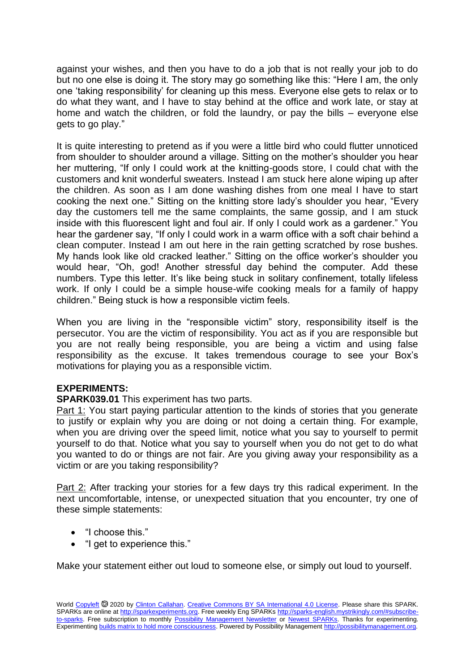against your wishes, and then you have to do a job that is not really your job to do but no one else is doing it. The story may go something like this: "Here I am, the only one 'taking responsibility' for cleaning up this mess. Everyone else gets to relax or to do what they want, and I have to stay behind at the office and work late, or stay at home and watch the children, or fold the laundry, or pay the bills – everyone else gets to go play."

It is quite interesting to pretend as if you were a little bird who could flutter unnoticed from shoulder to shoulder around a village. Sitting on the mother's shoulder you hear her muttering, "If only I could work at the knitting-goods store, I could chat with the customers and knit wonderful sweaters. Instead I am stuck here alone wiping up after the children. As soon as I am done washing dishes from one meal I have to start cooking the next one." Sitting on the knitting store lady's shoulder you hear, "Every day the customers tell me the same complaints, the same gossip, and I am stuck inside with this fluorescent light and foul air. If only I could work as a gardener." You hear the gardener say, "If only I could work in a warm office with a soft chair behind a clean computer. Instead I am out here in the rain getting scratched by rose bushes. My hands look like old cracked leather." Sitting on the office worker's shoulder you would hear, "Oh, god! Another stressful day behind the computer. Add these numbers. Type this letter. It's like being stuck in solitary confinement, totally lifeless work. If only I could be a simple house-wife cooking meals for a family of happy children." Being stuck is how a responsible victim feels.

When you are living in the "responsible victim" story, responsibility itself is the persecutor. You are the victim of responsibility. You act as if you are responsible but you are not really being responsible, you are being a victim and using false responsibility as the excuse. It takes tremendous courage to see your Box's motivations for playing you as a responsible victim.

## **EXPERIMENTS:**

## **SPARK039.01** This experiment has two parts.

Part 1: You start paying particular attention to the kinds of stories that you generate to justify or explain why you are doing or not doing a certain thing. For example, when you are driving over the speed limit, notice what you say to yourself to permit yourself to do that. Notice what you say to yourself when you do not get to do what you wanted to do or things are not fair. Are you giving away your responsibility as a victim or are you taking responsibility?

Part 2: After tracking your stories for a few days try this radical experiment. In the next uncomfortable, intense, or unexpected situation that you encounter, try one of these simple statements:

- "I choose this."
- "I get to experience this."

Make your statement either out loud to someone else, or simply out loud to yourself.